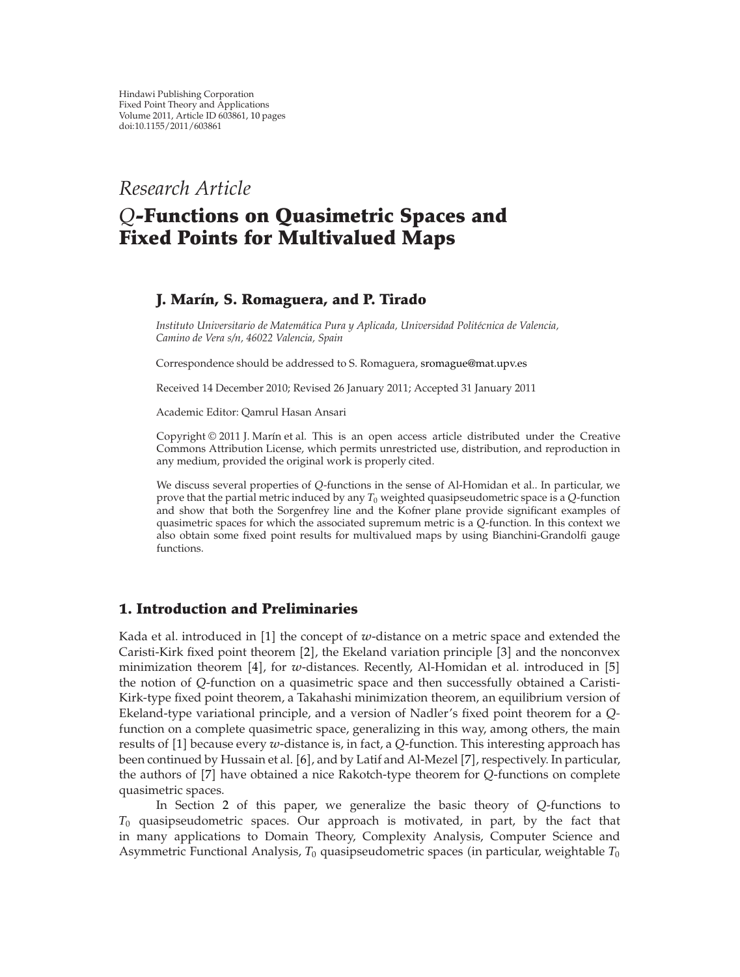*Research Article*

# *Q***-Functions on Quasimetric Spaces and Fixed Points for Multivalued Maps**

# **J. Mar´ın, S. Romaguera, and P. Tirado**

*Instituto Universitario de Matematica Pura y Aplicada, Universidad Polit ´ ecnica de Valencia, ´ Camino de Vera s/n, 46022 Valencia, Spain*

Correspondence should be addressed to S. Romaguera, sromague@mat.upv.es

Received 14 December 2010; Revised 26 January 2011; Accepted 31 January 2011

Academic Editor: Qamrul Hasan Ansari

Copyright © 2011 J. Marín et al. This is an open access article distributed under the Creative Commons Attribution License, which permits unrestricted use, distribution, and reproduction in any medium, provided the original work is properly cited.

We discuss several properties of *Q*-functions in the sense of Al-Homidan et al.. In particular, we prove that the partial metric induced by any  $T_0$  weighted quasipseudometric space is a  $Q$ -function and show that both the Sorgenfrey line and the Kofner plane provide significant examples of quasimetric spaces for which the associated supremum metric is a *Q*-function. In this context we also obtain some fixed point results for multivalued maps by using Bianchini-Grandolfi gauge functions.

# **1. Introduction and Preliminaries**

Kada et al. introduced in [1] the concept of *w*-distance on a metric space and extended the Caristi-Kirk fixed point theorem [2], the Ekeland variation principle [3] and the nonconvex minimization theorem [4], for *w*-distances. Recently, Al-Homidan et al. introduced in [5] the notion of *Q*-function on a quasimetric space and then successfully obtained a Caristi-Kirk-type fixed point theorem, a Takahashi minimization theorem, an equilibrium version of Ekeland-type variational principle, and a version of Nadler's fixed point theorem for a *Q*function on a complete quasimetric space, generalizing in this way, among others, the main results of [1] because every *w*-distance is, in fact, a Q-function. This interesting approach has been continued by Hussain et al. [6], and by Latif and Al-Mezel [7], respectively. In particular, the authors of [7] have obtained a nice Rakotch-type theorem for *Q*-functions on complete quasimetric spaces.

In Section 2 of this paper, we generalize the basic theory of *Q*-functions to *T*<sup>0</sup> quasipseudometric spaces. Our approach is motivated, in part, by the fact that in many applications to Domain Theory, Complexity Analysis, Computer Science and Asymmetric Functional Analysis, *T*<sup>0</sup> quasipseudometric spaces in particular, weightable *T*<sup>0</sup>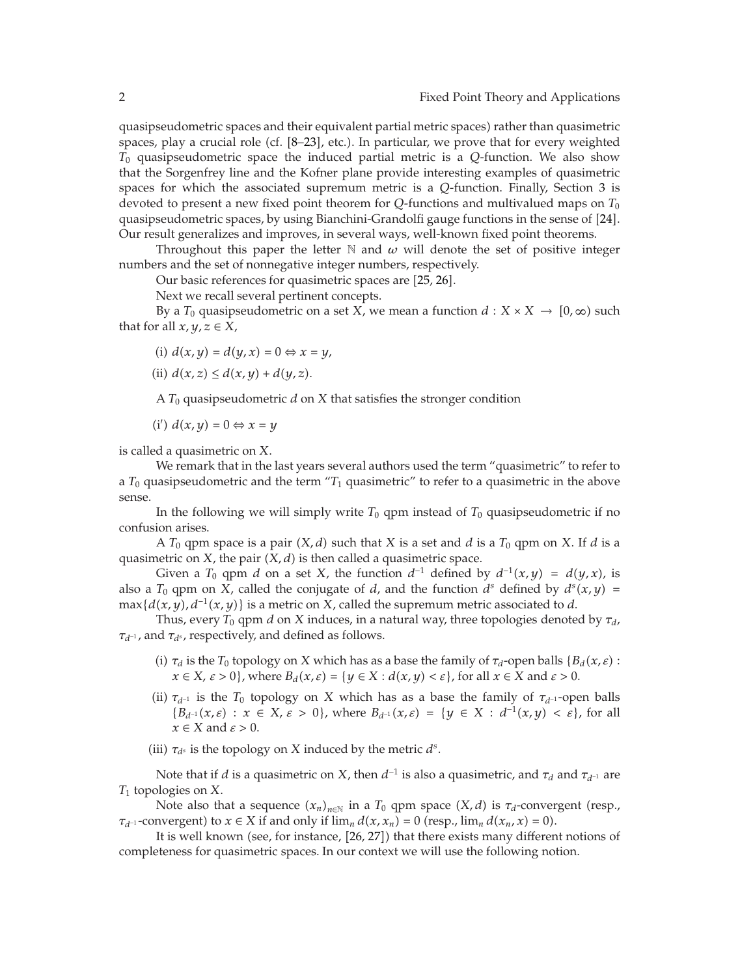quasipseudometric spaces and their equivalent partial metric spaces) rather than quasimetric spaces, play a crucial role (cf. [8–23], etc.). In particular, we prove that for every weighted *T*<sup>0</sup> quasipseudometric space the induced partial metric is a *Q*-function. We also show that the Sorgenfrey line and the Kofner plane provide interesting examples of quasimetric spaces for which the associated supremum metric is a *Q*-function. Finally, Section 3 is devoted to present a new fixed point theorem for *Q*-functions and multivalued maps on *T*<sup>0</sup> quasipseudometric spaces, by using Bianchini-Grandolfi gauge functions in the sense of [24]. Our result generalizes and improves, in several ways, well-known fixed point theorems.

Throughout this paper the letter  $\mathbb N$  and  $\omega$  will denote the set of positive integer numbers and the set of nonnegative integer numbers, respectively.

Our basic references for quasimetric spaces are [25, 26].

Next we recall several pertinent concepts.

By a  $T_0$  quasipseudometric on a set  $X$ , we mean a function  $d: X \times X \to [0, \infty)$  such that for all  $x, y, z \in X$ ,

- $i) d(x, y) = d(y, x) = 0 \Leftrightarrow x = y,$
- (ii)  $d(x, z) \leq d(x, y) + d(y, z)$ .

A  $T_0$  quasipseudometric  $d$  on  $X$  that satisfies the stronger condition

 $(i') d(x, y) = 0$  ⇔  $x = y$ 

is called a quasimetric on *X*.

We remark that in the last years several authors used the term "quasimetric" to refer to a *T*<sup>0</sup> quasipseudometric and the term "*T*<sup>1</sup> quasimetric" to refer to a quasimetric in the above sense.

In the following we will simply write  $T_0$  qpm instead of  $T_0$  quasipseudometric if no confusion arises.

A  $T_0$  qpm space is a pair  $(X, d)$  such that  $X$  is a set and  $d$  is a  $T_0$  qpm on  $X$ . If  $d$  is a quasimetric on  $X$ , the pair  $(X, d)$  is then called a quasimetric space.

Given a  $T_0$  qpm *d* on a set *X*, the function  $d^{-1}$  defined by  $d^{-1}(x, y) = d(y, x)$ , is also a  $T_0$  qpm on *X*, called the conjugate of *d*, and the function  $d^s$  defined by  $d^s(x, y) =$  $\max\{d(x,y), d^{-1}(x,y)\}\$ is a metric on *X*, called the supremum metric associated to *d*.

Thus, every *T*<sup>0</sup> qpm *d* on *X* induces, in a natural way, three topologies denoted by *τd*, *τ*<sub>*d*<sup>−1</sup></sub>, and *τ<sub>d</sub>*<sup>*s*</sup>, respectively, and defined as follows.

- (i)  $\tau_d$  is the *T*<sub>0</sub> topology on *X* which has as a base the family of  $\tau_d$ -open balls { $B_d(x,\varepsilon)$  :  $x \in X$ ,  $\varepsilon > 0$ , where  $B_d(x, \varepsilon) = \{y \in X : d(x, y) < \varepsilon\}$ , for all  $x \in X$  and  $\varepsilon > 0$ .
- (ii)  $\tau_{d^{-1}}$  is the  $T_0$  topology on *X* which has as a base the family of  $\tau_{d^{-1}}$ -open balls  ${B_{d^{-1}}(x,\varepsilon) : x \in X, \varepsilon > 0}$ , where  $B_{d^{-1}}(x,\varepsilon) = \{y \in X : d^{-1}(x,y) < \varepsilon\}$ , for all *x* ∈ *X* and *ε >* 0.
- (iii)  $\tau_{d^s}$  is the topology on *X* induced by the metric  $d^s$ .

Note that if *d* is a quasimetric on *X*, then  $d^{-1}$  is also a quasimetric, and  $\tau_d$  and  $\tau_{d^{-1}}$  are *T*<sup>1</sup> topologies on *X*.

Note also that a sequence  $(x_n)_{n \in \mathbb{N}}$  in a  $T_0$  qpm space  $(X, d)$  is  $\tau_d$ -convergent (resp., *τ*<sub>*d*</sub>−1</sub>-convergent) to  $x \in X$  if and only if  $\lim_{n} d(x, x_n) = 0$  (resp.,  $\lim_{n} d(x_n, x) = 0$ ).

It is well known (see, for instance, [26, 27]) that there exists many different notions of completeness for quasimetric spaces. In our context we will use the following notion.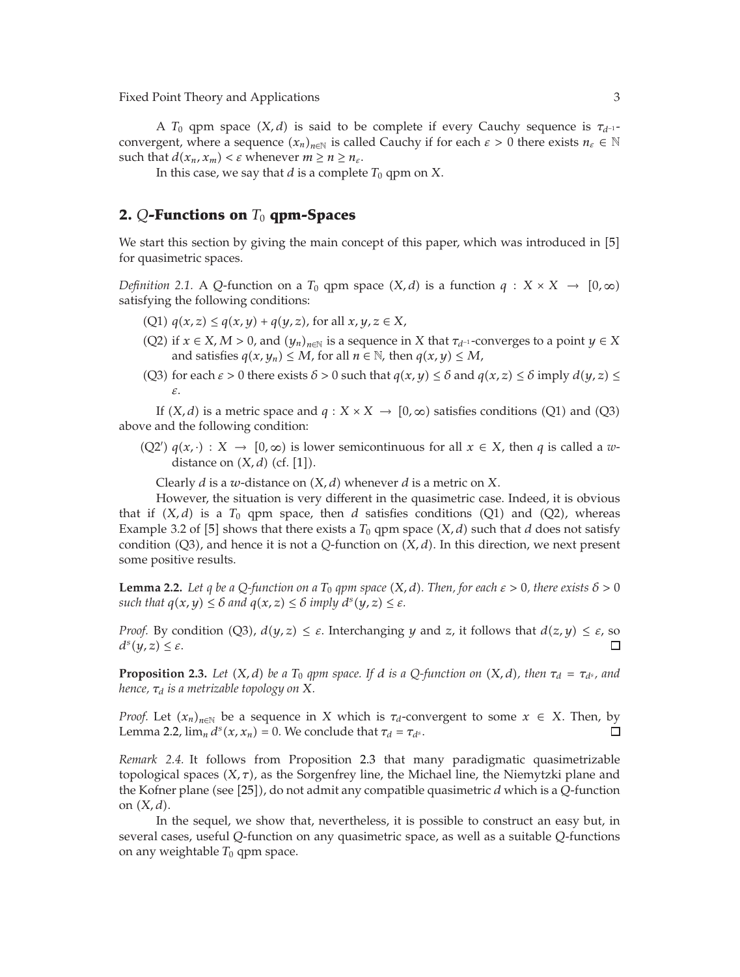A  $T_0$  qpm space  $(X, d)$  is said to be complete if every Cauchy sequence is  $\tau_{d^{-1}}$ convergent, where a sequence  $(x_n)_{n \in \mathbb{N}}$  is called Cauchy if for each  $\varepsilon > 0$  there exists  $n_{\varepsilon} \in \mathbb{N}$ such that  $d(x_n, x_m) < \varepsilon$  whenever  $m \ge n \ge n_{\varepsilon}$ .

In this case, we say that *d* is a complete  $T_0$  qpm on *X*.

## **2.** *Q***-Functions on** *T*<sup>0</sup> **qpm-Spaces**

We start this section by giving the main concept of this paper, which was introduced in [5] for quasimetric spaces.

*Definition 2.1.* A *Q*-function on a  $T_0$  qpm space  $(X, d)$  is a function  $q: X \times X \rightarrow [0, \infty)$ satisfying the following conditions:

- $(Q1)$   $q(x, z) \leq q(x, y) + q(y, z)$ , for all  $x, y, z \in X$ ,
- (Q2) if  $x \in X$ ,  $M > 0$ , and  $(y_n)_{n \in \mathbb{N}}$  is a sequence in  $X$  that  $\tau_{d^{-1}}$ -converges to a point  $y \in X$ and satisfies  $q(x, y_n) \leq M$ , for all  $n \in \mathbb{N}$ , then  $q(x, y) \leq M$ ,
- (Q3) for each  $\varepsilon > 0$  there exists  $\delta > 0$  such that  $q(x, y) \leq \delta$  and  $q(x, z) \leq \delta$  imply  $d(y, z) \leq$ *ε*.

If  $(X, d)$  is a metric space and  $q: X \times X \rightarrow [0, \infty)$  satisfies conditions (Q1) and (Q3) above and the following condition:

 $(Q2')$   $q(x, \cdot) : X \to [0, \infty)$  is lower semicontinuous for all  $x \in X$ , then *q* is called a *w*distance on  $(X, d)$  (cf. [1]).

Clearly  $d$  is a  $w$ -distance on  $(X, d)$  whenever  $d$  is a metric on  $X$ .

However, the situation is very different in the quasimetric case. Indeed, it is obvious that if  $(X, d)$  is a  $T_0$  qpm space, then  $d$  satisfies conditions  $(Q1)$  and  $(Q2)$ , whereas Example 3.2 of [5] shows that there exists a  $T_0$  qpm space  $(X, d)$  such that  $d$  does not satisfy condition  $(Q3)$ , and hence it is not a *Q*-function on  $(X, d)$ . In this direction, we next present some positive results.

**Lemma 2.2.** *Let q be a Q-function on a*  $T_0$  *qpm space*  $(X, d)$ *. Then, for each*  $\varepsilon > 0$ *, there exists*  $\delta > 0$ *such that*  $q(x, y) \leq \delta$  *and*  $q(x, z) \leq \delta$  *imply*  $d^{s}(y, z) \leq \varepsilon$ *.* 

*Proof.* By condition  $(Q3)$ ,  $d(y, z) \leq \varepsilon$ . Interchanging *y* and *z*, it follows that  $d(z, y) \leq \varepsilon$ , so  $d^s(y, z) \leq \varepsilon$ . П

**Proposition 2.3.** *Let*  $(X, d)$  *be a*  $T_0$  *qpm space. If d is a*  $Q$ -function on  $(X, d)$ *, then*  $\tau_d = \tau_{d^s}$ *, and hence, τd is a metrizable topology on X.*

*Proof.* Let  $(x_n)_{n\in\mathbb{N}}$  be a sequence in *X* which is  $\tau_d$ -convergent to some  $x \in X$ . Then, by Lemma 2.2,  $\lim_{n} d^{s}(x, x_{n}) = 0$ . We conclude that  $\tau_{d} = \tau_{d^{s}}$ .  $\Box$ 

*Remark 2.4.* It follows from Proposition 2.3 that many paradigmatic quasimetrizable topological spaces  $(X, \tau)$ , as the Sorgenfrey line, the Michael line, the Niemytzki plane and the Kofner plane (see [25]), do not admit any compatible quasimetric *d* which is a *Q*-function on  $(X, d)$ .

In the sequel, we show that, nevertheless, it is possible to construct an easy but, in several cases, useful *Q*-function on any quasimetric space, as well as a suitable *Q*-functions on any weightable  $T_0$  qpm space.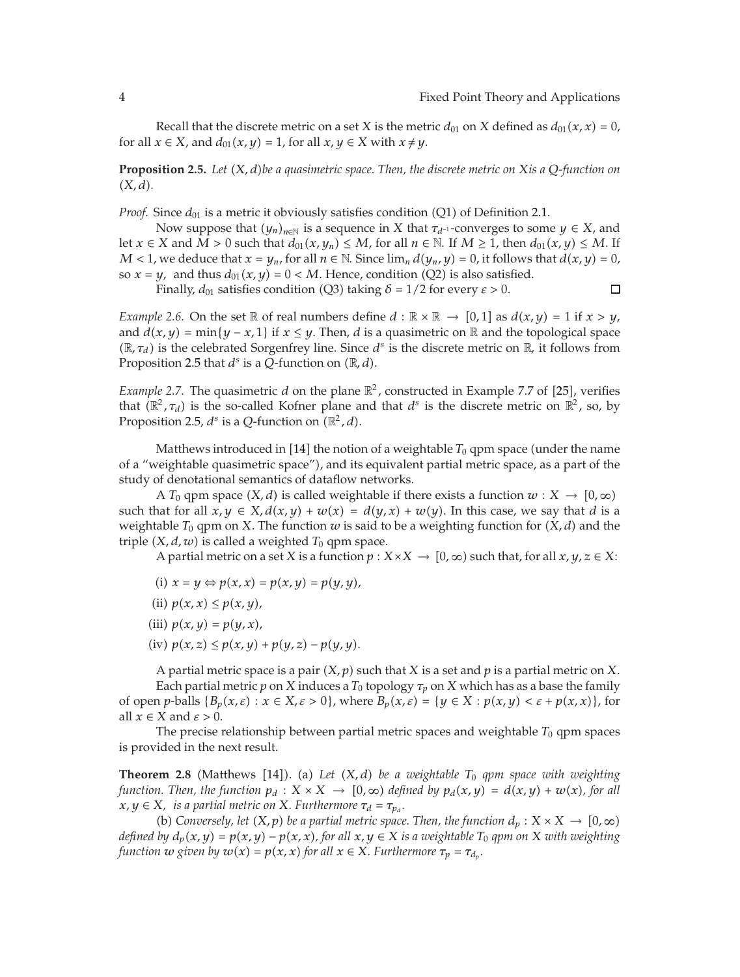Recall that the discrete metric on a set *X* is the metric  $d_{01}$  on *X* defined as  $d_{01}(x, x) = 0$ , for all  $x \in X$ , and  $d_{01}(x, y) = 1$ , for all  $x, y \in X$  with  $x \neq y$ .

**Proposition 2.5.** *Let X, dbe a quasimetric space. Then, the discrete metric on Xis a Q-function on X, d.*

*Proof.* Since  $d_{01}$  is a metric it obviously satisfies condition (Q1) of Definition 2.1.

Now suppose that  $(y_n)_{n \in \mathbb{N}}$  is a sequence in *X* that  $\tau_{d^{-1}}$ -converges to some  $y \in X$ , and let *x* ∈ *X* and *M* > 0 such that  $d_{01}(x, y_n)$  ≤ *M*, for all  $n \in \mathbb{N}$ . If *M* ≥ 1, then  $d_{01}(x, y)$  ≤ *M*. If *M* < 1, we deduce that  $x = y_n$ , for all  $n \in \mathbb{N}$ . Since  $\lim_{n} d(y_n, y) = 0$ , it follows that  $d(x, y) = 0$ , so  $x = y$ , and thus  $d_{01}(x, y) = 0 < M$ . Hence, condition (Q2) is also satisfied.

Finally,  $d_{01}$  satisfies condition (Q3) taking  $\delta = 1/2$  for every  $\varepsilon > 0$ .  $\Box$ 

*Example* 2.6. On the set  $\mathbb R$  of real numbers define  $d : \mathbb R \times \mathbb R \to [0,1]$  as  $d(x,y) = 1$  if  $x > y$ , and  $d(x, y) = min{y - x, 1}$  if  $x \le y$ . Then, *d* is a quasimetric on  $\mathbb R$  and the topological space  $(\mathbb{R}, \tau_d)$  is the celebrated Sorgenfrey line. Since  $d^s$  is the discrete metric on  $\mathbb{R}$ , it follows from Proposition 2.5 that  $d^s$  is a  $\widetilde{Q}$ -function on  $(\mathbb{R}, d)$ .

*Example 2.7.* The quasimetric  $d$  on the plane  $\mathbb{R}^2$ , constructed in Example 7.7 of [25], verifies that  $(\mathbb{R}^2, \tau_d)$  is the so-called Kofner plane and that  $d^s$  is the discrete metric on  $\mathbb{R}^2$ , so, by Proposition 2.5,  $d^s$  is a Q-function on  $(\mathbb{R}^2, d)$ .

Matthews introduced in [14] the notion of a weightable  $T_0$  qpm space (under the name of a "weightable quasimetric space", and its equivalent partial metric space, as a part of the study of denotational semantics of dataflow networks.

A  $T_0$  qpm space  $(X, d)$  is called weightable if there exists a function  $w: X \to [0, \infty)$ such that for all  $x, y \in X$ ,  $d(x, y) + w(x) = d(y, x) + w(y)$ . In this case, we say that *d* is a weightable  $T_0$  qpm on  $X$ . The function  $w$  is said to be a weighting function for  $(X, d)$  and the triple  $(X, d, w)$  is called a weighted  $T_0$  qpm space.

A partial metric on a set *X* is a function  $p: X \times X \to [0, \infty)$  such that, for all  $x, y, z \in X$ :

- (i)  $x = y \Leftrightarrow p(x, x) = p(x, y) = p(y, y)$ ,
- (ii)  $p(x, x) \leq p(x, y)$ ,
- (iii)  $p(x, y) = p(y, x)$ ,
- $(iv)$   $p(x, z) \leq p(x, y) + p(y, z) p(y, y).$

A partial metric space is a pair  $(X, p)$  such that  $X$  is a set and  $p$  is a partial metric on  $X$ . Each partial metric *p* on *X* induces a  $T_0$  topology  $\tau_p$  on *X* which has as a base the family of open *p*-balls  ${B_p(x, \varepsilon) : x \in X, \varepsilon > 0}$ , where  $B_p(x, \varepsilon) = {y \in X : p(x, y) < \varepsilon + p(x, x)}$ , for all  $x \in X$  and  $\varepsilon > 0$ .

The precise relationship between partial metric spaces and weightable  $T_0$  qpm spaces is provided in the next result.

**Theorem 2.8** (Matthews [14]). (a) Let  $(X, d)$  be a weightable  $T_0$  *qpm space with weighting function. Then, the function*  $p_d: X \times X \to [0, \infty)$  defined by  $p_d(x, y) = d(x, y) + w(x)$ , for all  $x, y \in X$ *, is a partial metric on X. Furthermore*  $\tau_d = \tau_{p_d}$ *.* 

(b) Conversely, let  $(X, p)$  be a partial metric space. Then, the function  $d_p: X \times X \to [0, \infty)$ *defined by*  $d_p(x, y) = p(x, y) - p(x, x)$ , for all  $x, y \in X$  *is a weightable*  $T_0$  *qpm on*  $X$  *with weighting function w given by*  $w(x) = p(x, x)$  *for all*  $x \in X$ *. Furthermore*  $\tau_p = \tau_{d_p}$ *.*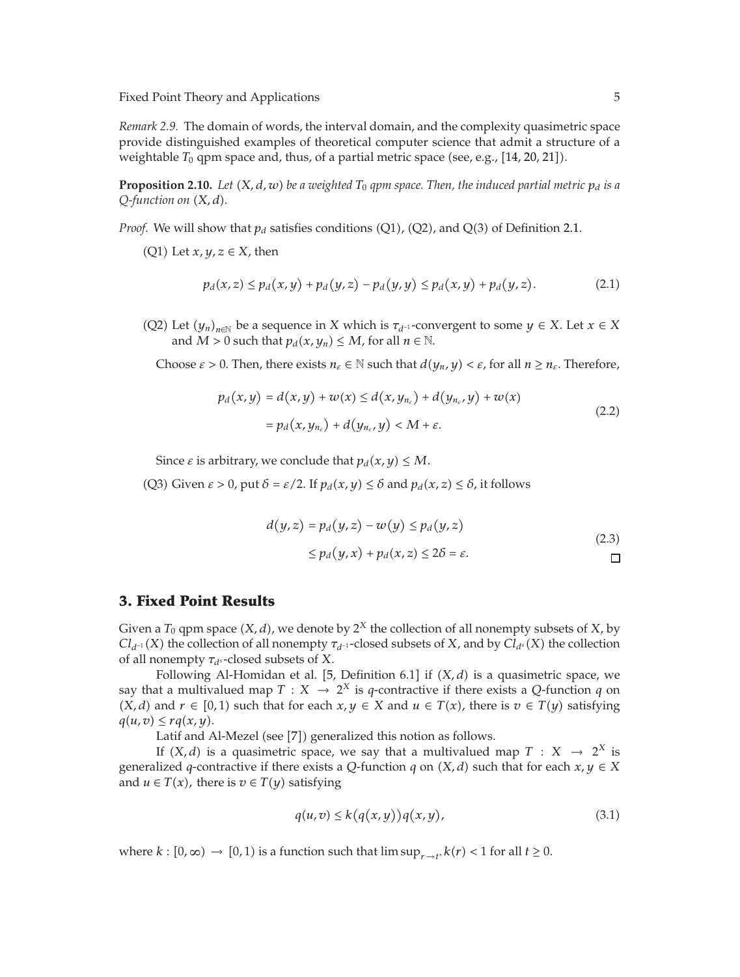*Remark 2.9.* The domain of words, the interval domain, and the complexity quasimetric space provide distinguished examples of theoretical computer science that admit a structure of a weightable  $T_0$  qpm space and, thus, of a partial metric space (see, e.g., [14, 20, 21]).

**Proposition 2.10.** *Let*  $(X, d, w)$  *be a weighted*  $T_0$  *qpm space. Then, the induced partial metric*  $p_d$  *is a Q-function on X, d.*

*Proof.* We will show that  $p_d$  satisfies conditions (Q1), (Q2), and Q(3) of Definition 2.1.

 $(Q1)$  Let  $x, y, z \in X$ , then

$$
p_d(x, z) \le p_d(x, y) + p_d(y, z) - p_d(y, y) \le p_d(x, y) + p_d(y, z).
$$
 (2.1)

(Q2) Let  $(y_n)_{n \in \mathbb{N}}$  be a sequence in *X* which is  $\tau_{d^{-1}}$ -convergent to some  $y \in X$ . Let  $x \in X$ and *M* > 0 such that  $p_d(x, y_n) \leq M$ , for all  $n \in \mathbb{N}$ .

Choose  $\varepsilon > 0$ . Then, there exists  $n_{\varepsilon} \in \mathbb{N}$  such that  $d(y_n, y) < \varepsilon$ , for all  $n \ge n_{\varepsilon}$ . Therefore,

$$
p_d(x, y) = d(x, y) + w(x) \le d(x, y_{n_{\varepsilon}}) + d(y_{n_{\varepsilon}}, y) + w(x)
$$
  
=  $p_d(x, y_{n_{\varepsilon}}) + d(y_{n_{\varepsilon}}, y) < M + \varepsilon.$  (2.2)

Since  $\varepsilon$  is arbitrary, we conclude that  $p_d(x, y) \le M$ .

(Q3) Given *ε* > 0, put *δ* = *ε*/2. If  $p_d(x, y) ≤ δ$  and  $p_d(x, z) ≤ δ$ , it follows

$$
d(y, z) = p_d(y, z) - w(y) \le p_d(y, z)
$$
  
\n
$$
\le p_d(y, x) + p_d(x, z) \le 2\delta = \varepsilon.
$$
\n(2.3)

#### **3. Fixed Point Results**

Given a  $T_0$  qpm space  $(X, d)$ , we denote by  $2^X$  the collection of all nonempty subsets of  $X$ , by *Cl*<sub>d</sub>-1</sub> *(X)* the collection of all nonempty  $\tau_{d^{-1}}$ -closed subsets of *X*, and by *Cl*<sub>d</sub>s</sub> (*X*) the collection of all nonempty  $\tau_{d}$ s-closed subsets of *X*.

Following Al-Homidan et al. [5, Definition 6.1] if  $(X, d)$  is a quasimetric space, we say that a multivalued map  $T : X \rightarrow 2^X$  is *q*-contractive if there exists a *Q*-function *q* on *(X, d)* and *r* ∈ [0, 1) such that for each *x, y* ∈ *X* and *u* ∈ *T*(*x*), there is *v* ∈ *T*(*y*) satisfying  $q(u,v) \leq r q(x,y)$ .

Latif and Al-Mezel (see [7]) generalized this notion as follows.

If *(X, d)* is a quasimetric space, we say that a multivalued map  $T : X \rightarrow 2^X$  is generalized *q*-contractive if there exists a *Q*-function *q* on  $(X, d)$  such that for each  $x, y \in X$ and  $u \in T(x)$ , there is  $v \in T(y)$  satisfying

$$
q(u,v) \le k(q(x,y))q(x,y), \tag{3.1}
$$

where  $k : [0, \infty) \to [0, 1)$  is a function such that  $\limsup_{r \to t^+} k(r) < 1$  for all  $t \ge 0$ .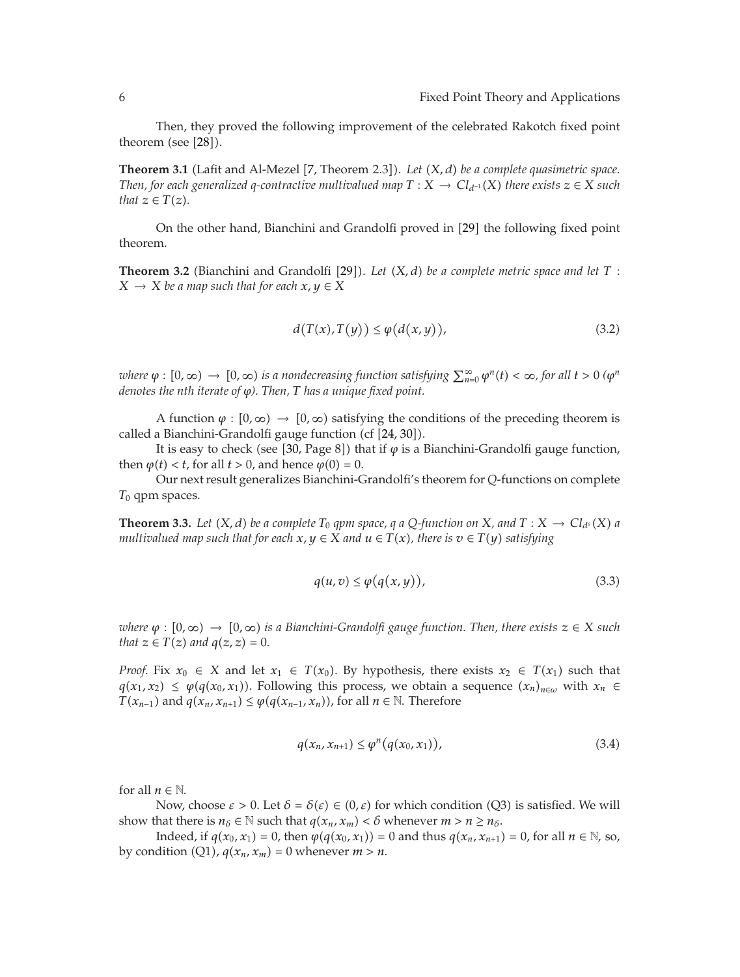Then, they proved the following improvement of the celebrated Rakotch fixed point theorem (see  $[28]$ ).

Theorem 3.1 (Lafit and Al-Mezel [7, Theorem 2.3]). Let  $(X, d)$  be a complete quasimetric space. *Then, for each generalized q-contractive multivalued map*  $T : X \to Cl_{d^{-1}}(X)$  *there exists*  $z \in X$  *such that*  $z \in T(z)$ *.* 

On the other hand, Bianchini and Grandolfi proved in [29] the following fixed point theorem.

**Theorem 3.2** (Bianchini and Grandolfi [29]). Let  $(X, d)$  be a complete metric space and let  $T$ :  $X \rightarrow X$  *be a map such that for each*  $x, y \in X$ 

$$
d(T(x), T(y)) \le \varphi(d(x, y)),\tag{3.2}
$$

 $\nu$  *where*  $\varphi$  :  $[0,\infty) \to [0,\infty)$  *is a nondecreasing function satisfying*  $\sum_{n=0}^{\infty} \varphi^n(t) < \infty$ , for all  $t > 0$  ( $\varphi^n$ *denotes the nth iterate of ϕ). Then, T has a unique fixed point.*

A function  $\varphi : [0, \infty) \to [0, \infty)$  satisfying the conditions of the preceding theorem is called a Bianchini-Grandolfi gauge function (cf [24, 30]).

It is easy to check (see [30, Page 8]) that if  $\varphi$  is a Bianchini-Grandolfi gauge function, then  $\varphi(t) < t$ , for all  $t > 0$ , and hence  $\varphi(0) = 0$ .

Our next result generalizes Bianchini-Grandolfi's theorem for *Q*-functions on complete *T*<sup>0</sup> qpm spaces.

**Theorem 3.3.** *Let*  $(X, d)$  *be a complete*  $T_0$  *qpm space, q a Q-function on*  $X$ *, and*  $T: X \to Cl_{d^s}(X)$  *a multivalued map such that for each*  $x, y \in X$  *and*  $u \in T(x)$ *, there is*  $v \in T(y)$  *satisfying* 

$$
q(u,v) \le \varphi(q(x,y)),\tag{3.3}
$$

 $\omega$ *kere*  $\varphi : [0, \infty) \to [0, \infty)$  *is a Bianchini-Grandolfi gauge function. Then, there exists*  $z \in X$  *such that*  $z \in T(z)$  *and*  $q(z, z) = 0$ *.* 

*Proof.* Fix  $x_0 \in X$  and let  $x_1 \in T(x_0)$ . By hypothesis, there exists  $x_2 \in T(x_1)$  such that  $q(x_1, x_2) \leq \varphi(q(x_0, x_1))$ . Following this process, we obtain a sequence  $(x_n)_{n \in \omega}$  with  $x_n \in$ *T*( $x_{n-1}$ ) and  $q(x_n, x_{n+1})$  ≤  $\varphi$ ( $q(x_{n-1}, x_n)$ ), for all  $n \in \mathbb{N}$ . Therefore

$$
q(x_n, x_{n+1}) \le \varphi^n(q(x_0, x_1)), \tag{3.4}
$$

for all  $n \in \mathbb{N}$ .

Now, choose  $\varepsilon > 0$ . Let  $\delta = \delta(\varepsilon) \in (0,\varepsilon)$  for which condition (Q3) is satisfied. We will show that there is  $n_{\delta} \in \mathbb{N}$  such that  $q(x_n, x_m) < \delta$  whenever  $m > n \ge n_{\delta}$ .

Indeed, if *q*(*x*<sub>0</sub>, *x*<sub>1</sub>) = 0, then *ϕ*(*q*(*x*<sub>0</sub>, *x*<sub>1</sub>)) = 0 and thus *q*(*x*<sub>*n*</sub>, *x*<sub>*n*+1</sub>) = 0, for all *n* ∈ ℕ, so, by condition  $(Q1)$ ,  $q(x_n, x_m) = 0$  whenever  $m > n$ .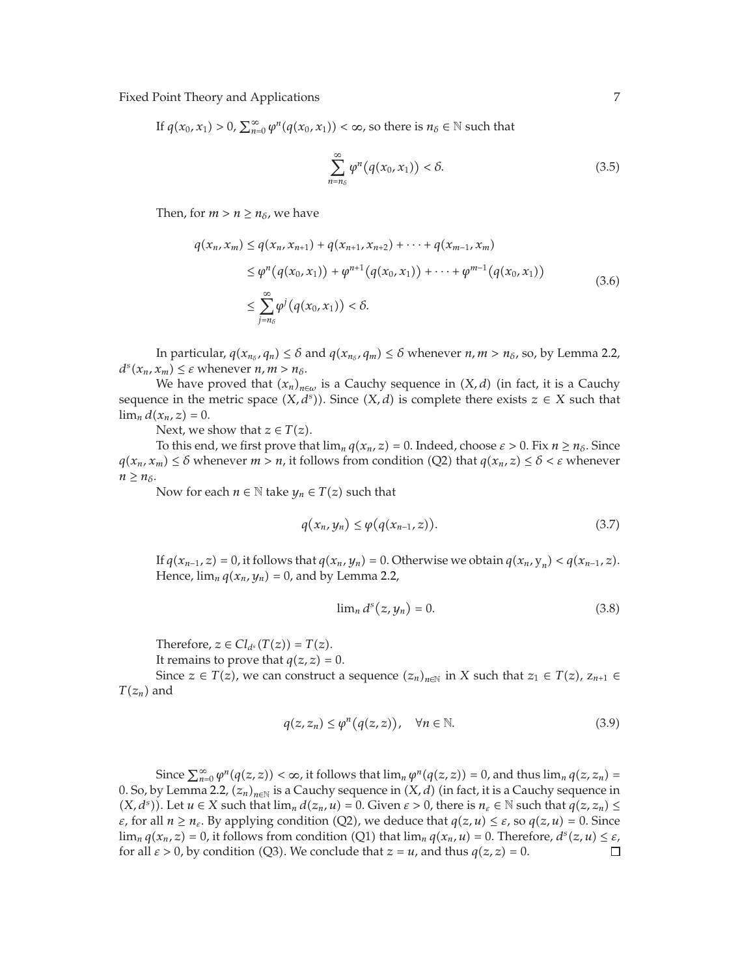If  $q(x_0, x_1) > 0$ ,  $\sum_{n=0}^{\infty} \varphi^n(q(x_0, x_1)) < \infty$ , so there is  $n_\delta \in \mathbb{N}$  such that

$$
\sum_{n=n_{\delta}}^{\infty} \varphi^{n}(q(x_0, x_1)) < \delta. \tag{3.5}
$$

Then, for  $m > n \geq n_{\delta}$ , we have

$$
q(x_n, x_m) \le q(x_n, x_{n+1}) + q(x_{n+1}, x_{n+2}) + \cdots + q(x_{m-1}, x_m)
$$
  
\n
$$
\le \varphi^n(q(x_0, x_1)) + \varphi^{n+1}(q(x_0, x_1)) + \cdots + \varphi^{m-1}(q(x_0, x_1))
$$
  
\n
$$
\le \sum_{j=n_\delta}^{\infty} \varphi^j(q(x_0, x_1)) < \delta.
$$
 (3.6)

In particular,  $q(x_{n_{\delta}}, q_n) \leq \delta$  and  $q(x_{n_{\delta}}, q_m) \leq \delta$  whenever  $n, m > n_{\delta}$ , so, by Lemma 2.2,  $d^s(x_n, x_m) \leq \varepsilon$  whenever  $n, m > n_\delta$ .

We have proved that  $(x_n)_{n \in \omega}$  is a Cauchy sequence in  $(X, d)$  (in fact, it is a Cauchy sequence in the metric space  $(X, d^s)$ ). Since  $(X, d)$  is complete there exists  $z \in X$  such that  $\lim_{n} d(x_n, z) = 0.$ 

Next, we show that  $z \in T(z)$ .

To this end, we first prove that  $\lim_{n} q(x_n, z) = 0$ . Indeed, choose  $\varepsilon > 0$ . Fix  $n \ge n_\delta$ . Since  $q(x_n, x_m) \leq \delta$  whenever  $m > n$ , it follows from condition (Q2) that  $q(x_n, z) \leq \delta < \varepsilon$  whenever  $n \geq n_{\delta}$ .

Now for each  $n \in \mathbb{N}$  take  $y_n \in T(z)$  such that

$$
q(x_n, y_n) \le \varphi(q(x_{n-1}, z)). \tag{3.7}
$$

If  $q(x_{n-1}, z) = 0$ , it follows that  $q(x_n, y_n) = 0$ . Otherwise we obtain  $q(x_n, y_n) < q(x_{n-1}, z)$ . Hence,  $\lim_{n} q(x_n, y_n) = 0$ , and by Lemma 2.2,

$$
\lim_{n} d^{s}(z, y_{n}) = 0. \tag{3.8}
$$

Therefore,  $z \in Cl_{d^s}(T(z)) = T(z)$ .

It remains to prove that  $q(z, z) = 0$ .

Since  $z \in T(z)$ , we can construct a sequence  $(z_n)_{n \in \mathbb{N}}$  in *X* such that  $z_1 \in T(z)$ ,  $z_{n+1} \in$  $T(z_n)$  and

$$
q(z, z_n) \le \varphi^n(q(z, z)), \quad \forall n \in \mathbb{N}.
$$
 (3.9)

Since  $\sum_{n=0}^{\infty} \varphi^n(q(z, z)) < \infty$ , it follows that  $\lim_{n} \varphi^n(q(z, z)) = 0$ , and thus  $\lim_{n} q(z, z_n) =$ 0. So, by Lemma 2.2,  $(z_n)_{n\in\mathbb{N}}$  is a Cauchy sequence in  $(X, d)$  (in fact, it is a Cauchy sequence in  $(X, d^s)$ ). Let  $u \in X$  such that  $\lim_n d(z_n, u) = 0$ . Given  $\varepsilon > 0$ , there is  $n_{\varepsilon} \in \mathbb{N}$  such that  $q(z, z_n) \leq$ *ε*, for all  $n \ge n_{\epsilon}$ . By applying condition (Q2), we deduce that  $q(z, u) \le \epsilon$ , so  $q(z, u) = 0$ . Since  $\lim_{n} q(x_n, z) = 0$ , it follows from condition (Q1) that  $\lim_{n} q(x_n, u) = 0$ . Therefore,  $d^s(z, u) \leq \varepsilon$ , for all  $\varepsilon > 0$ , by condition (Q3). We conclude that  $z = u$ , and thus  $q(z, z) = 0$ .  $\Box$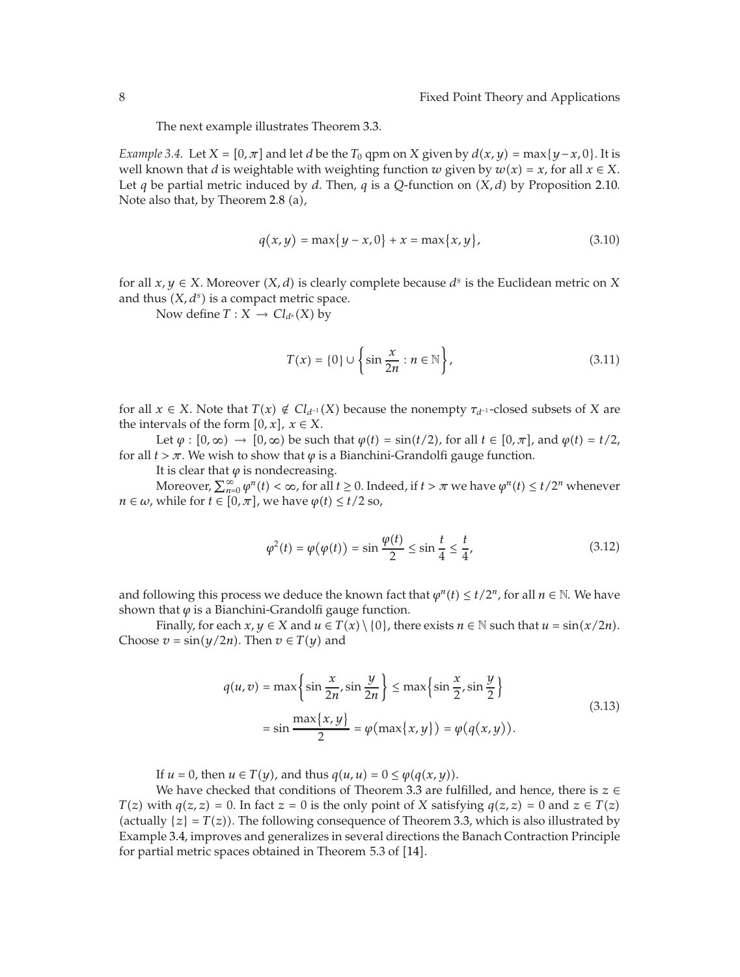The next example illustrates Theorem 3.3.

*Example 3.4.* Let *X* =  $[0, \pi]$  and let *d* be the  $T_0$  qpm on *X* given by  $d(x, y) = \max\{y - x, 0\}$ . It is well known that *d* is weightable with weighting function *w* given by  $w(x) = x$ , for all  $x \in X$ . Let *q* be partial metric induced by *d*. Then, *q* is a *Q*-function on  $(X, d)$  by Proposition 2.10. Note also that, by Theorem 2.8 (a),

$$
q(x, y) = \max\{y - x, 0\} + x = \max\{x, y\},
$$
\n(3.10)

for all  $x, y \in X$ . Moreover  $(X, d)$  is clearly complete because  $d<sup>s</sup>$  is the Euclidean metric on X and thus  $(X, d<sup>s</sup>)$  is a compact metric space.

Now define  $T: X \to Cl_{d^s}(X)$  by

$$
T(x) = \{0\} \cup \left\{\sin \frac{x}{2n} : n \in \mathbb{N}\right\},\tag{3.11}
$$

for all  $x \in X$ . Note that  $T(x) \notin Cl_{d^{-1}}(X)$  because the nonempty  $\tau_{d^{-1}}$ -closed subsets of X are the intervals of the form  $[0, x]$ ,  $x \in X$ .

Let  $\varphi : [0, \infty) \to [0, \infty)$  be such that  $\varphi(t) = \sin(t/2)$ , for all  $t \in [0, \pi]$ , and  $\varphi(t) = t/2$ , for all  $t > \pi$ . We wish to show that  $\varphi$  is a Bianchini-Grandolfi gauge function.

It is clear that  $\varphi$  is nondecreasing.

Moreover,  $\sum_{n=0}^{\infty} \varphi^n(t) < \infty$ , for all  $t \ge 0$ . Indeed, if  $t > \pi$  we have  $\varphi^n(t) \le t/2^n$  whenever *n* ∈ *ω*, while for *t* ∈ [0, *π*], we have  $\varphi(t) \le t/2$  so,

$$
\varphi^2(t) = \varphi(\varphi(t)) = \sin\frac{\varphi(t)}{2} \le \sin\frac{t}{4} \le \frac{t}{4},\tag{3.12}
$$

and following this process we deduce the known fact that  $\varphi^n(t) \le t/2^n$ , for all  $n \in \mathbb{N}$ . We have shown that  $\varphi$  is a Bianchini-Grandolfi gauge function.

Finally, for each  $x, y \in X$  and  $u \in T(x) \setminus \{0\}$ , there exists  $n \in \mathbb{N}$  such that  $u = \sin(x/2n)$ . Choose  $v = \sin(y/2n)$ . Then  $v \in T(y)$  and

$$
q(u, v) = \max\left\{\sin\frac{x}{2n}, \sin\frac{y}{2n}\right\} \le \max\left\{\sin\frac{x}{2}, \sin\frac{y}{2}\right\}
$$
  

$$
= \sin\frac{\max\{x, y\}}{2} = \varphi(\max\{x, y\}) = \varphi(q(x, y)).
$$
 (3.13)

If  $u = 0$ , then  $u \in T(y)$ , and thus  $q(u, u) = 0 \le \varphi(q(x, y))$ .

We have checked that conditions of Theorem 3.3 are fulfilled, and hence, there is *z* ∈ *T*(*z*) with *q*(*z*, *z*) = 0. In fact *z* = 0 is the only point of *X* satisfying *q*(*z*, *z*) = 0 and *z* ∈ *T*(*z*) (actually  $\{z\} = T(z)$ ). The following consequence of Theorem 3.3, which is also illustrated by Example 3.4, improves and generalizes in several directions the Banach Contraction Principle for partial metric spaces obtained in Theorem  $5.3$  of  $[14]$ .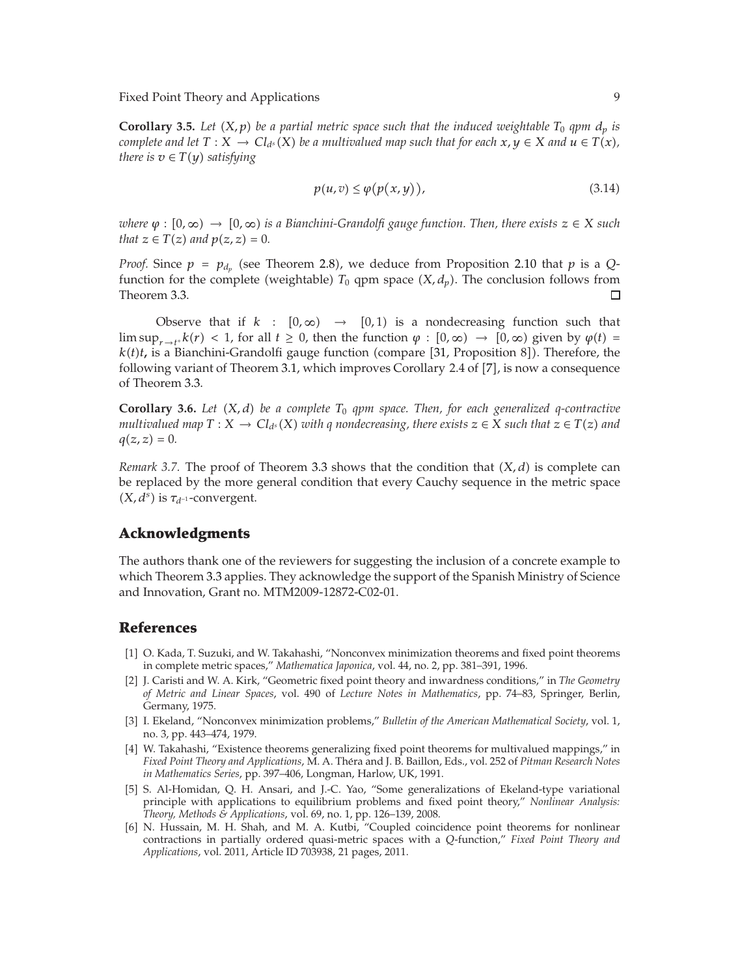**Corollary 3.5.** Let  $(X, p)$  be a partial metric space such that the induced weightable  $T_0$  *qpm*  $d_p$  *is complete and let*  $T : X \to Cl_{d^s}(X)$  *be a multivalued map such that for each*  $x, y \in X$  *and*  $u \in T(x)$ *, there is*  $v \in T(y)$  *satisfying* 

$$
p(u,v) \le \varphi(p(x,y)),\tag{3.14}
$$

 $\omega$ *kere*  $\varphi : [0, \infty) \to [0, \infty)$  *is a Bianchini-Grandolfi gauge function. Then, there exists*  $z \in X$  *such that*  $z \in T(z)$  *and*  $p(z, z) = 0$ *.* 

*Proof.* Since  $p = p_{d_p}$  (see Theorem 2.8), we deduce from Proposition 2.10 that  $p$  is a *Q*function for the complete (weightable)  $T_0$  qpm space  $(X, d_p)$ . The conclusion follows from Theorem 3.3.  $\Box$ 

Observe that if  $k : [0, \infty) \rightarrow [0, 1)$  is a nondecreasing function such that  $\limsup_{r \to t^+} k(r) < 1$ , for all  $t \ge 0$ , then the function  $\varphi : [0, \infty) \to [0, \infty)$  given by  $\varphi(t) =$  $k(t)$ *t*, is a Bianchini-Grandolfi gauge function (compare [31, Proposition 8]). Therefore, the following variant of Theorem 3.1, which improves Corollary 2.4 of [7], is now a consequence of Theorem 3.3.

**Corollary 3.6.** Let  $(X, d)$  be a complete  $T_0$  *qpm space. Then, for each generalized q-contractive multivalued map*  $T : X \to Cl_{d^s}(X)$  *with q nondecreasing, there exists*  $z \in X$  *such that*  $z \in T(z)$  *and*  $q(z, z) = 0.$ 

*Remark 3.7.* The proof of Theorem 3.3 shows that the condition that  $(X, d)$  is complete can be replaced by the more general condition that every Cauchy sequence in the metric space  $(X, d^s)$  is  $\tau_{d^{-1}}$ -convergent.

### **Acknowledgments**

The authors thank one of the reviewers for suggesting the inclusion of a concrete example to which Theorem 3.3 applies. They acknowledge the support of the Spanish Ministry of Science and Innovation, Grant no. MTM2009-12872-C02-01.

#### **References**

- [1] O. Kada, T. Suzuki, and W. Takahashi, "Nonconvex minimization theorems and fixed point theorems in complete metric spaces," *Mathematica Japonica*, vol. 44, no. 2, pp. 381–391, 1996.
- -2 J. Caristi and W. A. Kirk, "Geometric fixed point theory and inwardness conditions," in *The Geometry of Metric and Linear Spaces*, vol. 490 of *Lecture Notes in Mathematics*, pp. 74–83, Springer, Berlin, Germany, 1975.
- -3 I. Ekeland, "Nonconvex minimization problems," *Bulletin of the American Mathematical Society*, vol. 1, no. 3, pp. 443–474, 1979.
- [4] W. Takahashi, "Existence theorems generalizing fixed point theorems for multivalued mappings," in *Fixed Point Theory and Applications*, M. A. Théra and J. B. Baillon, Eds., vol. 252 of *Pitman Research Notes in Mathematics Series*, pp. 397–406, Longman, Harlow, UK, 1991.
- -5 S. Al-Homidan, Q. H. Ansari, and J.-C. Yao, "Some generalizations of Ekeland-type variational principle with applications to equilibrium problems and fixed point theory," *Nonlinear Analysis: Theory, Methods & Applications*, vol. 69, no. 1, pp. 126–139, 2008.
- [6] N. Hussain, M. H. Shah, and M. A. Kutbi, "Coupled coincidence point theorems for nonlinear contractions in partially ordered quasi-metric spaces with a *Q*-function," *Fixed Point Theory and Applications*, vol. 2011, Article ID 703938, 21 pages, 2011.